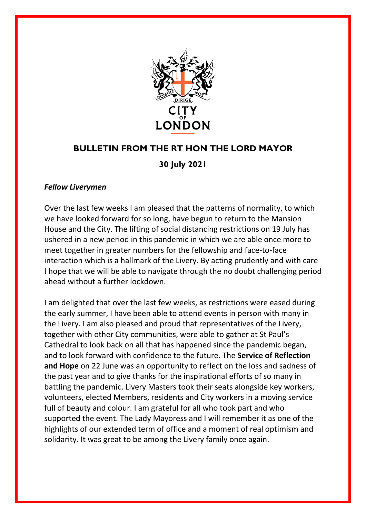

## **BULLETIN FROM THE RT HON THE LORD MAYOR**

## **30 July 2021**

## *Fellow Liverymen*

Over the last few weeks I am pleased that the patterns of normality, to which we have looked forward for so long, have begun to return to the Mansion House and the City. The lifting of social distancing restrictions on 19 July has ushered in a new period in this pandemic in which we are able once more to meet together in greater numbers for the fellowship and face-to-face interaction which is a hallmark of the Livery. By acting prudently and with care I hope that we will be able to navigate through the no doubt challenging period ahead without a further lockdown.

I am delighted that over the last few weeks, as restrictions were eased during the early summer, I have been able to attend events in person with many in the Livery. I am also pleased and proud that representatives of the Livery, together with other City communities, were able to gather at St Paul's Cathedral to look back on all that has happened since the pandemic began, and to look forward with confidence to the future. The **Service of Reflection and Hope** on 22 June was an opportunity to reflect on the loss and sadness of the past year and to give thanks for the inspirational efforts of so many in battling the pandemic. Livery Masters took their seats alongside key workers, volunteers, elected Members, residents and City workers in a moving service full of beauty and colour. I am grateful for all who took part and who supported the event. The Lady Mayoress and I will remember it as one of the highlights of our extended term of office and a moment of real optimism and solidarity. It was great to be among the Livery family once again.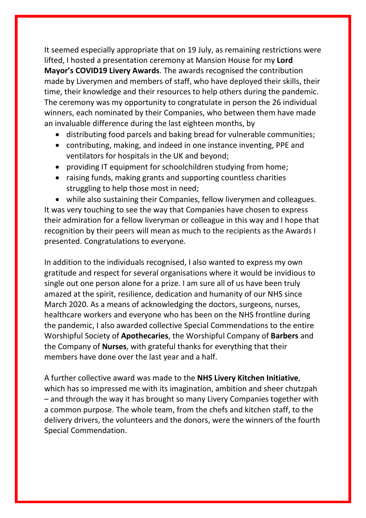It seemed especially appropriate that on 19 July, as remaining restrictions were lifted, I hosted a presentation ceremony at Mansion House for my **Lord Mayor's COVID19 Livery Awards**. The awards recognised the contribution made by Liverymen and members of staff, who have deployed their skills, their time, their knowledge and their resources to help others during the pandemic. The ceremony was my opportunity to congratulate in person the 26 individual winners, each nominated by their Companies, who between them have made an invaluable difference during the last eighteen months, by

- distributing food parcels and baking bread for vulnerable communities;
- contributing, making, and indeed in one instance inventing, PPE and ventilators for hospitals in the UK and beyond;
- providing IT equipment for schoolchildren studying from home;
- raising funds, making grants and supporting countless charities struggling to help those most in need;

• while also sustaining their Companies, fellow liverymen and colleagues. It was very touching to see the way that Companies have chosen to express their admiration for a fellow liveryman or colleague in this way and I hope that recognition by their peers will mean as much to the recipients as the Awards I presented. Congratulations to everyone.

In addition to the individuals recognised, I also wanted to express my own gratitude and respect for several organisations where it would be invidious to single out one person alone for a prize. I am sure all of us have been truly amazed at the spirit, resilience, dedication and humanity of our NHS since March 2020. As a means of acknowledging the doctors, surgeons, nurses, healthcare workers and everyone who has been on the NHS frontline during the pandemic, I also awarded collective Special Commendations to the entire Worshipful Society of **Apothecaries**, the Worshipful Company of **Barbers** and the Company of **Nurses**, with grateful thanks for everything that their members have done over the last year and a half.

A further collective award was made to the **NHS Livery Kitchen Initiative**, which has so impressed me with its imagination, ambition and sheer chutzpah – and through the way it has brought so many Livery Companies together with a common purpose. The whole team, from the chefs and kitchen staff, to the delivery drivers, the volunteers and the donors, were the winners of the fourth Special Commendation.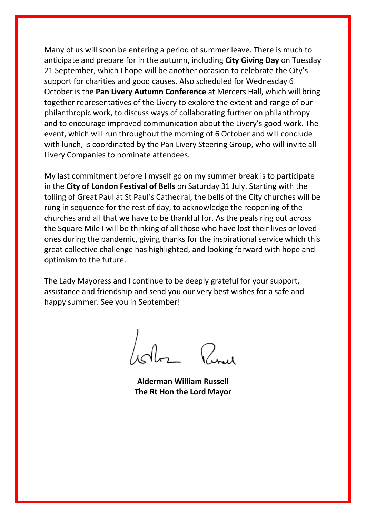Many of us will soon be entering a period of summer leave. There is much to anticipate and prepare for in the autumn, including **City Giving Day** on Tuesday 21 September, which I hope will be another occasion to celebrate the City's support for charities and good causes. Also scheduled for Wednesday 6 October is the **Pan Livery Autumn Conference** at Mercers Hall, which will bring together representatives of the Livery to explore the extent and range of our philanthropic work, to discuss ways of collaborating further on philanthropy and to encourage improved communication about the Livery's good work. The event, which will run throughout the morning of 6 October and will conclude with lunch, is coordinated by the Pan Livery Steering Group, who will invite all Livery Companies to nominate attendees.

My last commitment before I myself go on my summer break is to participate in the **City of London Festival of Bells** on Saturday 31 July. Starting with the tolling of Great Paul at St Paul's Cathedral, the bells of the City churches will be rung in sequence for the rest of day, to acknowledge the reopening of the churches and all that we have to be thankful for. As the peals ring out across the Square Mile I will be thinking of all those who have lost their lives or loved ones during the pandemic, giving thanks for the inspirational service which this great collective challenge has highlighted, and looking forward with hope and optimism to the future.

The Lady Mayoress and I continue to be deeply grateful for your support, assistance and friendship and send you our very best wishes for a safe and happy summer. See you in September!

 $\int_{\mathcal{A}}$  $Q_{\rm tot}$ 

**Alderman William Russell The Rt Hon the Lord Mayor**